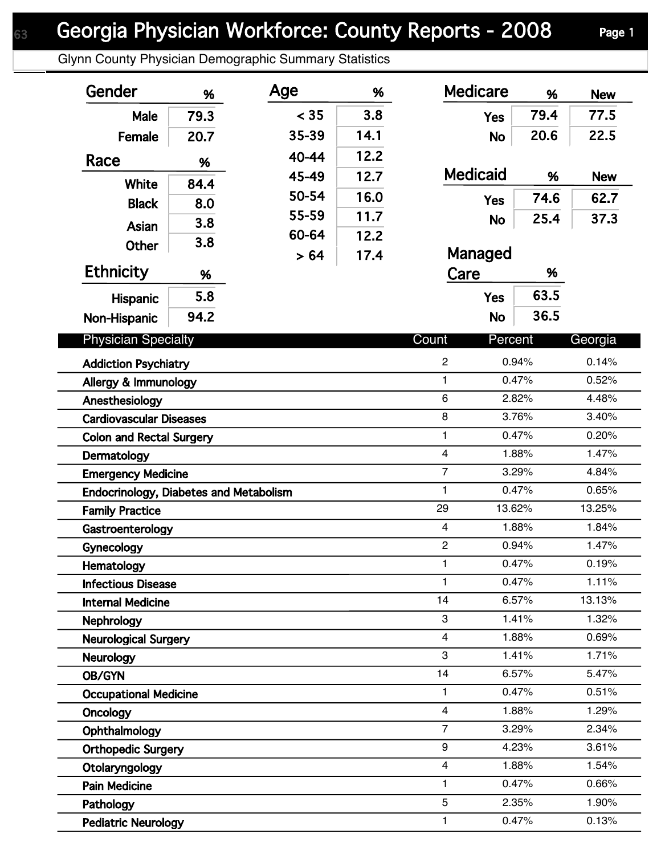Glynn County Physician Demographic Summary Statistics

| Gender                                 | %    | Age   | %    | <b>Medicare</b>         | %              | <b>New</b>     |
|----------------------------------------|------|-------|------|-------------------------|----------------|----------------|
| Male                                   | 79.3 | < 35  | 3.8  | <b>Yes</b>              | 79.4           | 77.5           |
| Female                                 | 20.7 | 35-39 | 14.1 | <b>No</b>               | 20.6           | 22.5           |
| Race                                   | %    | 40-44 | 12.2 |                         |                |                |
|                                        |      | 45-49 | 12.7 | <b>Medicaid</b>         | %              | <b>New</b>     |
| White                                  | 84.4 | 50-54 | 16.0 | <b>Yes</b>              | 74.6           | 62.7           |
| <b>Black</b>                           | 8.0  | 55-59 | 11.7 | <b>No</b>               | 25.4           | 37.3           |
| <b>Asian</b>                           | 3.8  | 60-64 | 12.2 |                         |                |                |
| <b>Other</b>                           | 3.8  | > 64  | 17.4 | Managed                 |                |                |
| <b>Ethnicity</b>                       | %    |       |      | Care                    | %              |                |
| <b>Hispanic</b>                        | 5.8  |       |      | <b>Yes</b>              | 63.5           |                |
| Non-Hispanic                           | 94.2 |       |      | <b>No</b>               | 36.5           |                |
| <b>Physician Specialty</b>             |      |       |      | Count<br>Percent        |                | Georgia        |
|                                        |      |       |      |                         |                |                |
| <b>Addiction Psychiatry</b>            |      |       |      | $\overline{c}$<br>1     | 0.94%<br>0.47% | 0.14%<br>0.52% |
| Allergy & Immunology<br>Anesthesiology |      |       |      | 6                       | 2.82%          | 4.48%          |
| <b>Cardiovascular Diseases</b>         |      |       |      | 8                       | 3.76%          | 3.40%          |
| <b>Colon and Rectal Surgery</b>        |      |       |      | 1                       | 0.47%          | 0.20%          |
| Dermatology                            |      |       |      | $\overline{\mathbf{4}}$ | 1.88%          | 1.47%          |
| <b>Emergency Medicine</b>              |      |       |      | $\overline{7}$          | 3.29%          | 4.84%          |
| Endocrinology, Diabetes and Metabolism |      |       |      | 1                       | 0.47%          | 0.65%          |
| <b>Family Practice</b>                 |      |       |      | 29                      | 13.62%         | 13.25%         |
| Gastroenterology                       |      |       |      | $\overline{\mathbf{4}}$ | 1.88%          | 1.84%          |
| Gynecology                             |      |       |      | $\overline{c}$          | 0.94%          | 1.47%          |
| Hematology                             |      |       |      | 1.                      | 0.47%          | 0.19%          |
| <b>Infectious Disease</b>              |      |       |      | 1                       | 0.47%          | 1.11%          |
| <b>Internal Medicine</b>               |      |       |      | 14                      | 6.57%          | 13.13%         |
| <b>Nephrology</b>                      |      |       |      | 3                       | 1.41%          | 1.32%          |
| <b>Neurological Surgery</b>            |      |       |      | 4                       | 1.88%          | 0.69%          |
| Neurology                              |      |       |      | 3                       | 1.41%          | 1.71%          |
| OB/GYN                                 |      |       |      | 14                      | 6.57%          | 5.47%          |
| <b>Occupational Medicine</b>           |      |       |      | 1                       | 0.47%          | 0.51%          |
| Oncology                               |      |       |      | $\overline{4}$          | 1.88%          | 1.29%          |
| Ophthalmology                          |      |       |      | $\overline{7}$          | 3.29%          | 2.34%          |
| <b>Orthopedic Surgery</b>              |      |       |      | 9                       | 4.23%          | 3.61%          |
| Otolaryngology                         |      |       |      | 4                       | 1.88%          | 1.54%          |
| <b>Pain Medicine</b>                   |      |       |      | 1                       | 0.47%          | 0.66%          |
| Pathology                              |      |       |      | 5                       | 2.35%          | 1.90%          |
| <b>Pediatric Neurology</b>             |      |       |      | 1                       | 0.47%          | 0.13%          |